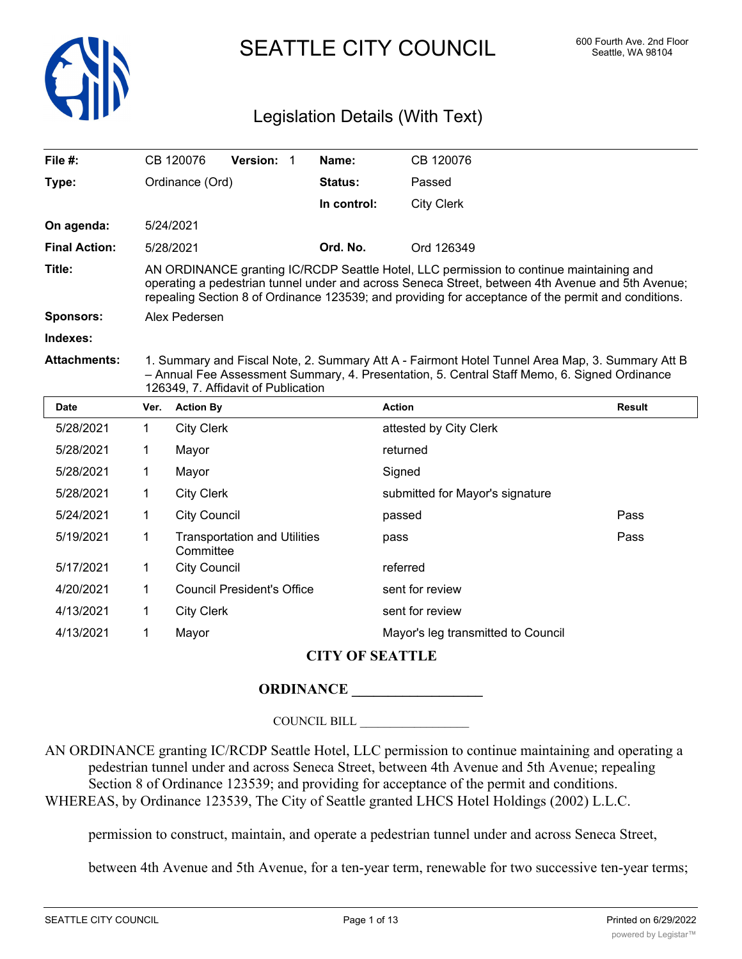

SEATTLE CITY COUNCIL 600 Fourth Ave. 2nd Floor

# Legislation Details (With Text)

| File $#$ :           |                                                                                                                                                                                                                                                                                                    | CB 120076                                        | Version: 1 |  | Name:          | CB 120076                          |               |  |
|----------------------|----------------------------------------------------------------------------------------------------------------------------------------------------------------------------------------------------------------------------------------------------------------------------------------------------|--------------------------------------------------|------------|--|----------------|------------------------------------|---------------|--|
| Type:                | Ordinance (Ord)                                                                                                                                                                                                                                                                                    |                                                  |            |  | <b>Status:</b> | Passed                             |               |  |
|                      |                                                                                                                                                                                                                                                                                                    |                                                  |            |  | In control:    | <b>City Clerk</b>                  |               |  |
| On agenda:           |                                                                                                                                                                                                                                                                                                    | 5/24/2021                                        |            |  |                |                                    |               |  |
| <b>Final Action:</b> | 5/28/2021                                                                                                                                                                                                                                                                                          |                                                  |            |  | Ord. No.       | Ord 126349                         |               |  |
| Title:               | AN ORDINANCE granting IC/RCDP Seattle Hotel, LLC permission to continue maintaining and<br>operating a pedestrian tunnel under and across Seneca Street, between 4th Avenue and 5th Avenue;<br>repealing Section 8 of Ordinance 123539; and providing for acceptance of the permit and conditions. |                                                  |            |  |                |                                    |               |  |
| <b>Sponsors:</b>     | Alex Pedersen                                                                                                                                                                                                                                                                                      |                                                  |            |  |                |                                    |               |  |
| Indexes:             |                                                                                                                                                                                                                                                                                                    |                                                  |            |  |                |                                    |               |  |
| <b>Attachments:</b>  | 1. Summary and Fiscal Note, 2. Summary Att A - Fairmont Hotel Tunnel Area Map, 3. Summary Att B<br>- Annual Fee Assessment Summary, 4. Presentation, 5. Central Staff Memo, 6. Signed Ordinance<br>126349, 7. Affidavit of Publication                                                             |                                                  |            |  |                |                                    |               |  |
| <b>Date</b>          | Ver.                                                                                                                                                                                                                                                                                               | <b>Action By</b>                                 |            |  |                | <b>Action</b>                      | <b>Result</b> |  |
| 5/28/2021            | 1.                                                                                                                                                                                                                                                                                                 | <b>City Clerk</b>                                |            |  |                | attested by City Clerk             |               |  |
| 5/28/2021            | 1                                                                                                                                                                                                                                                                                                  | Mayor                                            |            |  |                | returned                           |               |  |
| 5/28/2021            | 1                                                                                                                                                                                                                                                                                                  | Mayor                                            |            |  |                | Signed                             |               |  |
| 5/28/2021            | 1                                                                                                                                                                                                                                                                                                  | <b>City Clerk</b>                                |            |  |                | submitted for Mayor's signature    |               |  |
| 5/24/2021            | 1                                                                                                                                                                                                                                                                                                  | <b>City Council</b>                              |            |  |                | passed                             | Pass          |  |
| 5/19/2021            | 1                                                                                                                                                                                                                                                                                                  | <b>Transportation and Utilities</b><br>Committee |            |  |                | pass                               | Pass          |  |
| 5/17/2021            | 1                                                                                                                                                                                                                                                                                                  | <b>City Council</b>                              |            |  |                | referred                           |               |  |
| 4/20/2021            | 1                                                                                                                                                                                                                                                                                                  | <b>Council President's Office</b>                |            |  |                | sent for review                    |               |  |
| 4/13/2021            | 1                                                                                                                                                                                                                                                                                                  | <b>City Clerk</b>                                |            |  |                | sent for review                    |               |  |
| 4/13/2021            | 1                                                                                                                                                                                                                                                                                                  | Mayor                                            |            |  |                | Mayor's leg transmitted to Council |               |  |
|                      |                                                                                                                                                                                                                                                                                                    |                                                  |            |  |                |                                    |               |  |

### **CITY OF SEATTLE**

# **ORDINANCE \_\_\_\_\_\_\_\_\_\_\_\_\_\_\_\_\_\_**

COUNCIL BILL \_\_\_\_\_\_\_\_\_\_\_\_\_\_\_\_\_\_

AN ORDINANCE granting IC/RCDP Seattle Hotel, LLC permission to continue maintaining and operating a pedestrian tunnel under and across Seneca Street, between 4th Avenue and 5th Avenue; repealing Section 8 of Ordinance 123539; and providing for acceptance of the permit and conditions. WHEREAS, by Ordinance 123539, The City of Seattle granted LHCS Hotel Holdings (2002) L.L.C.

permission to construct, maintain, and operate a pedestrian tunnel under and across Seneca Street,

between 4th Avenue and 5th Avenue, for a ten-year term, renewable for two successive ten-year terms;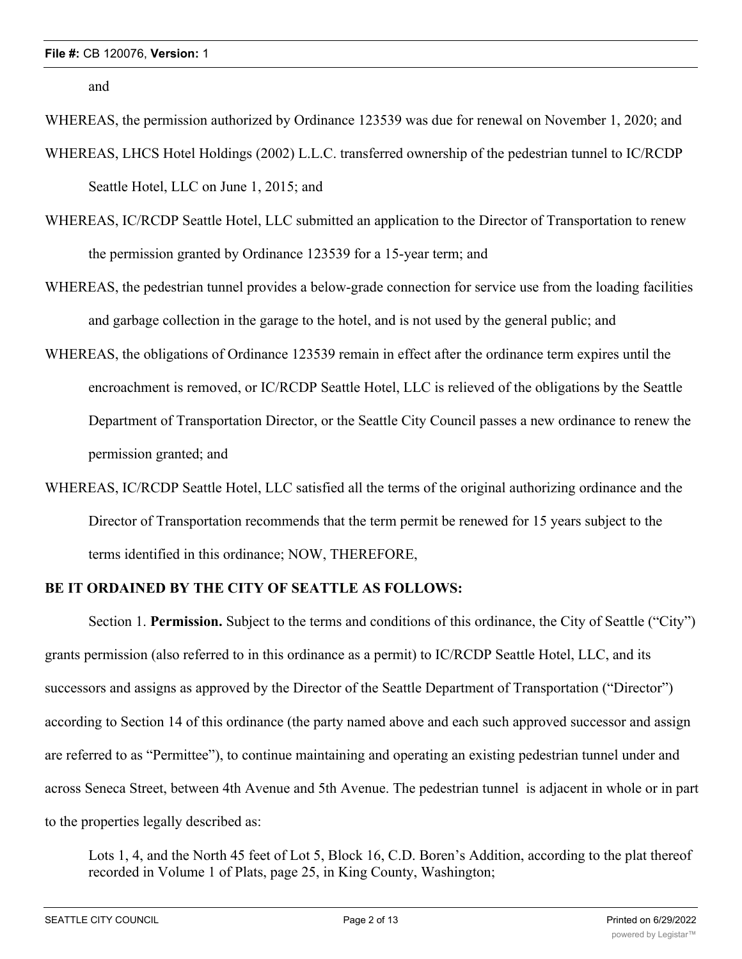and

WHEREAS, the permission authorized by Ordinance 123539 was due for renewal on November 1, 2020; and

- WHEREAS, LHCS Hotel Holdings (2002) L.L.C. transferred ownership of the pedestrian tunnel to IC/RCDP Seattle Hotel, LLC on June 1, 2015; and
- WHEREAS, IC/RCDP Seattle Hotel, LLC submitted an application to the Director of Transportation to renew the permission granted by Ordinance 123539 for a 15-year term; and
- WHEREAS, the pedestrian tunnel provides a below-grade connection for service use from the loading facilities and garbage collection in the garage to the hotel, and is not used by the general public; and
- WHEREAS, the obligations of Ordinance 123539 remain in effect after the ordinance term expires until the encroachment is removed, or IC/RCDP Seattle Hotel, LLC is relieved of the obligations by the Seattle Department of Transportation Director, or the Seattle City Council passes a new ordinance to renew the permission granted; and
- WHEREAS, IC/RCDP Seattle Hotel, LLC satisfied all the terms of the original authorizing ordinance and the Director of Transportation recommends that the term permit be renewed for 15 years subject to the terms identified in this ordinance; NOW, THEREFORE,

### **BE IT ORDAINED BY THE CITY OF SEATTLE AS FOLLOWS:**

Section 1. **Permission.** Subject to the terms and conditions of this ordinance, the City of Seattle ("City") grants permission (also referred to in this ordinance as a permit) to IC/RCDP Seattle Hotel, LLC, and its successors and assigns as approved by the Director of the Seattle Department of Transportation ("Director") according to Section 14 of this ordinance (the party named above and each such approved successor and assign are referred to as "Permittee"), to continue maintaining and operating an existing pedestrian tunnel under and across Seneca Street, between 4th Avenue and 5th Avenue. The pedestrian tunnel is adjacent in whole or in part to the properties legally described as:

Lots 1, 4, and the North 45 feet of Lot 5, Block 16, C.D. Boren's Addition, according to the plat thereof recorded in Volume 1 of Plats, page 25, in King County, Washington;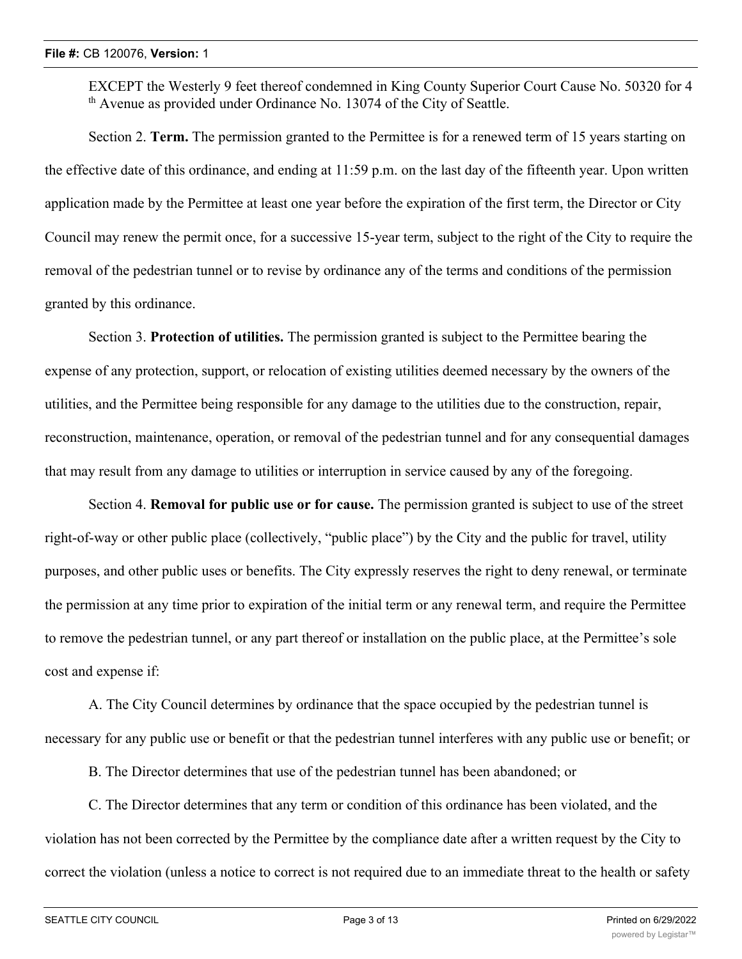EXCEPT the Westerly 9 feet thereof condemned in King County Superior Court Cause No. 50320 for 4  $t<sup>th</sup>$  Avenue as provided under Ordinance No. 13074 of the City of Seattle.

Section 2. **Term.** The permission granted to the Permittee is for a renewed term of 15 years starting on the effective date of this ordinance, and ending at 11:59 p.m. on the last day of the fifteenth year. Upon written application made by the Permittee at least one year before the expiration of the first term, the Director or City Council may renew the permit once, for a successive 15-year term, subject to the right of the City to require the removal of the pedestrian tunnel or to revise by ordinance any of the terms and conditions of the permission granted by this ordinance.

Section 3. **Protection of utilities.** The permission granted is subject to the Permittee bearing the expense of any protection, support, or relocation of existing utilities deemed necessary by the owners of the utilities, and the Permittee being responsible for any damage to the utilities due to the construction, repair, reconstruction, maintenance, operation, or removal of the pedestrian tunnel and for any consequential damages that may result from any damage to utilities or interruption in service caused by any of the foregoing.

Section 4. **Removal for public use or for cause.** The permission granted is subject to use of the street right-of-way or other public place (collectively, "public place") by the City and the public for travel, utility purposes, and other public uses or benefits. The City expressly reserves the right to deny renewal, or terminate the permission at any time prior to expiration of the initial term or any renewal term, and require the Permittee to remove the pedestrian tunnel, or any part thereof or installation on the public place, at the Permittee's sole cost and expense if:

A. The City Council determines by ordinance that the space occupied by the pedestrian tunnel is necessary for any public use or benefit or that the pedestrian tunnel interferes with any public use or benefit; or

B. The Director determines that use of the pedestrian tunnel has been abandoned; or

C. The Director determines that any term or condition of this ordinance has been violated, and the violation has not been corrected by the Permittee by the compliance date after a written request by the City to correct the violation (unless a notice to correct is not required due to an immediate threat to the health or safety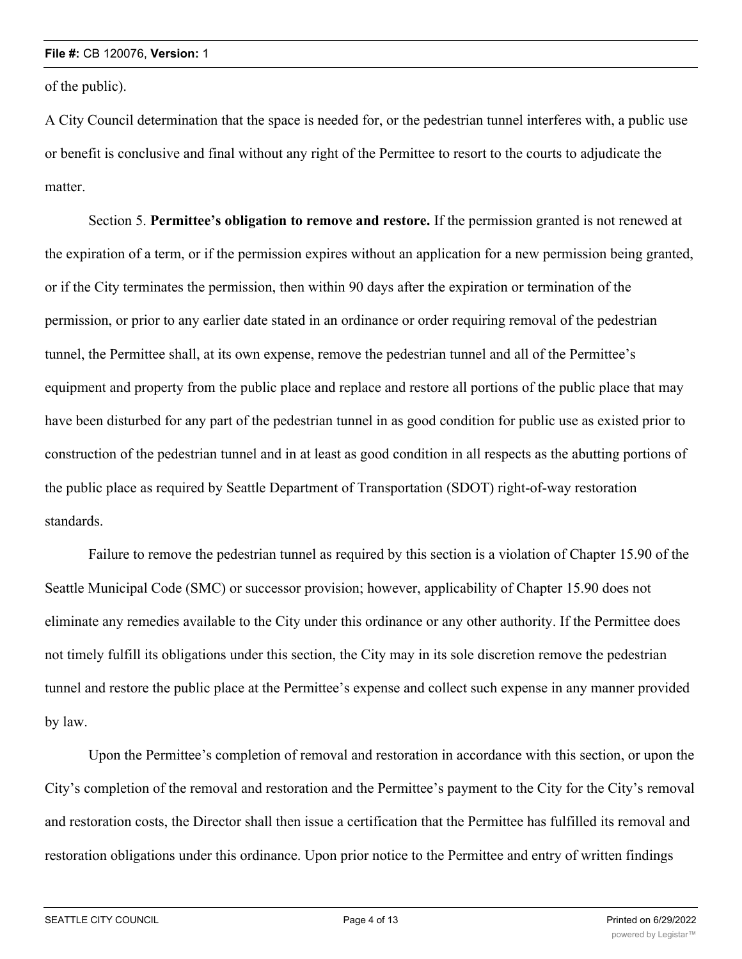of the public).

A City Council determination that the space is needed for, or the pedestrian tunnel interferes with, a public use or benefit is conclusive and final without any right of the Permittee to resort to the courts to adjudicate the matter.

Section 5. **Permittee's obligation to remove and restore.** If the permission granted is not renewed at the expiration of a term, or if the permission expires without an application for a new permission being granted, or if the City terminates the permission, then within 90 days after the expiration or termination of the permission, or prior to any earlier date stated in an ordinance or order requiring removal of the pedestrian tunnel, the Permittee shall, at its own expense, remove the pedestrian tunnel and all of the Permittee's equipment and property from the public place and replace and restore all portions of the public place that may have been disturbed for any part of the pedestrian tunnel in as good condition for public use as existed prior to construction of the pedestrian tunnel and in at least as good condition in all respects as the abutting portions of the public place as required by Seattle Department of Transportation (SDOT) right-of-way restoration standards.

Failure to remove the pedestrian tunnel as required by this section is a violation of Chapter 15.90 of the Seattle Municipal Code (SMC) or successor provision; however, applicability of Chapter 15.90 does not eliminate any remedies available to the City under this ordinance or any other authority. If the Permittee does not timely fulfill its obligations under this section, the City may in its sole discretion remove the pedestrian tunnel and restore the public place at the Permittee's expense and collect such expense in any manner provided by law.

Upon the Permittee's completion of removal and restoration in accordance with this section, or upon the City's completion of the removal and restoration and the Permittee's payment to the City for the City's removal and restoration costs, the Director shall then issue a certification that the Permittee has fulfilled its removal and restoration obligations under this ordinance. Upon prior notice to the Permittee and entry of written findings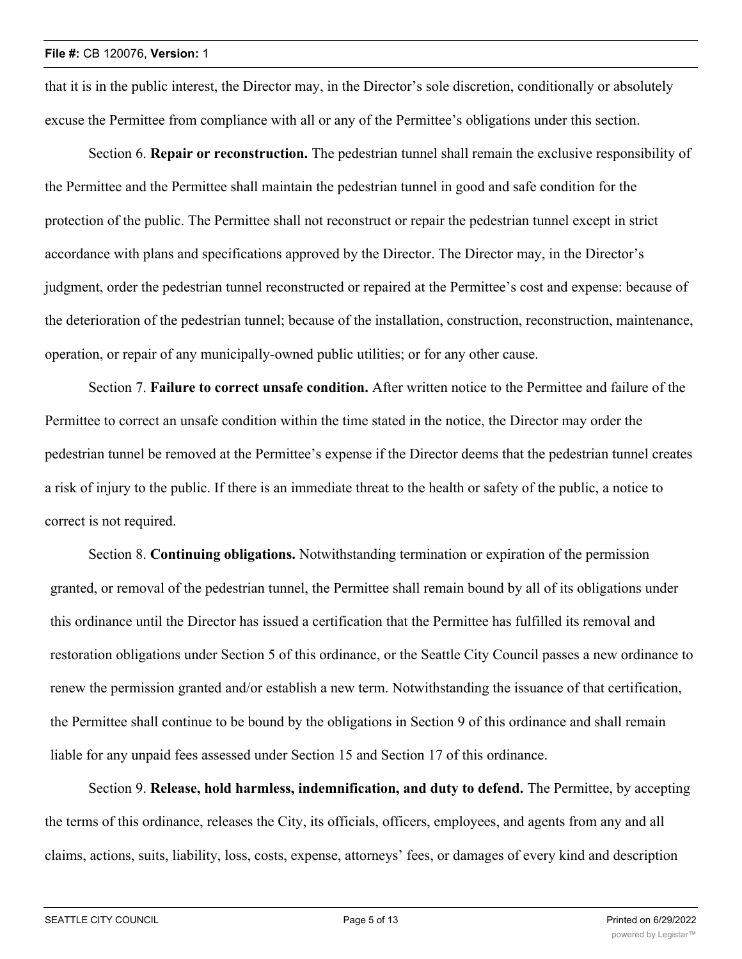that it is in the public interest, the Director may, in the Director's sole discretion, conditionally or absolutely excuse the Permittee from compliance with all or any of the Permittee's obligations under this section.

Section 6. **Repair or reconstruction.** The pedestrian tunnel shall remain the exclusive responsibility of the Permittee and the Permittee shall maintain the pedestrian tunnel in good and safe condition for the protection of the public. The Permittee shall not reconstruct or repair the pedestrian tunnel except in strict accordance with plans and specifications approved by the Director. The Director may, in the Director's judgment, order the pedestrian tunnel reconstructed or repaired at the Permittee's cost and expense: because of the deterioration of the pedestrian tunnel; because of the installation, construction, reconstruction, maintenance, operation, or repair of any municipally-owned public utilities; or for any other cause.

Section 7. **Failure to correct unsafe condition.** After written notice to the Permittee and failure of the Permittee to correct an unsafe condition within the time stated in the notice, the Director may order the pedestrian tunnel be removed at the Permittee's expense if the Director deems that the pedestrian tunnel creates a risk of injury to the public. If there is an immediate threat to the health or safety of the public, a notice to correct is not required.

Section 8. **Continuing obligations.** Notwithstanding termination or expiration of the permission granted, or removal of the pedestrian tunnel, the Permittee shall remain bound by all of its obligations under this ordinance until the Director has issued a certification that the Permittee has fulfilled its removal and restoration obligations under Section 5 of this ordinance, or the Seattle City Council passes a new ordinance to renew the permission granted and/or establish a new term. Notwithstanding the issuance of that certification, the Permittee shall continue to be bound by the obligations in Section 9 of this ordinance and shall remain liable for any unpaid fees assessed under Section 15 and Section 17 of this ordinance.

Section 9. **Release, hold harmless, indemnification, and duty to defend.** The Permittee, by accepting the terms of this ordinance, releases the City, its officials, officers, employees, and agents from any and all claims, actions, suits, liability, loss, costs, expense, attorneys' fees, or damages of every kind and description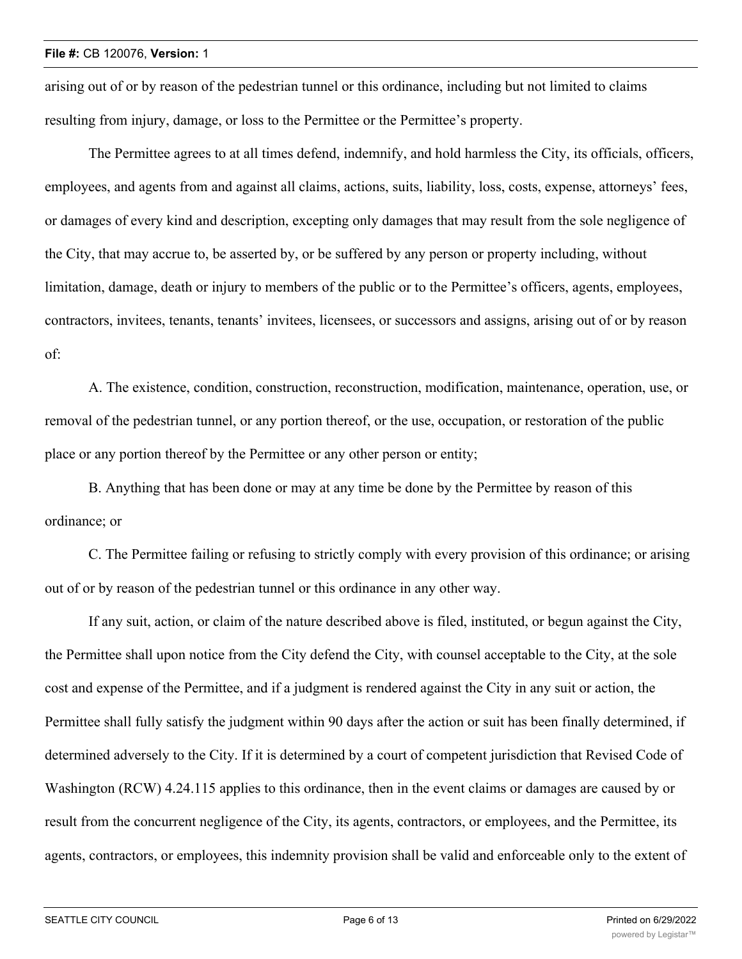arising out of or by reason of the pedestrian tunnel or this ordinance, including but not limited to claims resulting from injury, damage, or loss to the Permittee or the Permittee's property.

The Permittee agrees to at all times defend, indemnify, and hold harmless the City, its officials, officers, employees, and agents from and against all claims, actions, suits, liability, loss, costs, expense, attorneys' fees, or damages of every kind and description, excepting only damages that may result from the sole negligence of the City, that may accrue to, be asserted by, or be suffered by any person or property including, without limitation, damage, death or injury to members of the public or to the Permittee's officers, agents, employees, contractors, invitees, tenants, tenants' invitees, licensees, or successors and assigns, arising out of or by reason of:

A. The existence, condition, construction, reconstruction, modification, maintenance, operation, use, or removal of the pedestrian tunnel, or any portion thereof, or the use, occupation, or restoration of the public place or any portion thereof by the Permittee or any other person or entity;

B. Anything that has been done or may at any time be done by the Permittee by reason of this ordinance; or

C. The Permittee failing or refusing to strictly comply with every provision of this ordinance; or arising out of or by reason of the pedestrian tunnel or this ordinance in any other way.

If any suit, action, or claim of the nature described above is filed, instituted, or begun against the City, the Permittee shall upon notice from the City defend the City, with counsel acceptable to the City, at the sole cost and expense of the Permittee, and if a judgment is rendered against the City in any suit or action, the Permittee shall fully satisfy the judgment within 90 days after the action or suit has been finally determined, if determined adversely to the City. If it is determined by a court of competent jurisdiction that Revised Code of Washington (RCW) 4.24.115 applies to this ordinance, then in the event claims or damages are caused by or result from the concurrent negligence of the City, its agents, contractors, or employees, and the Permittee, its agents, contractors, or employees, this indemnity provision shall be valid and enforceable only to the extent of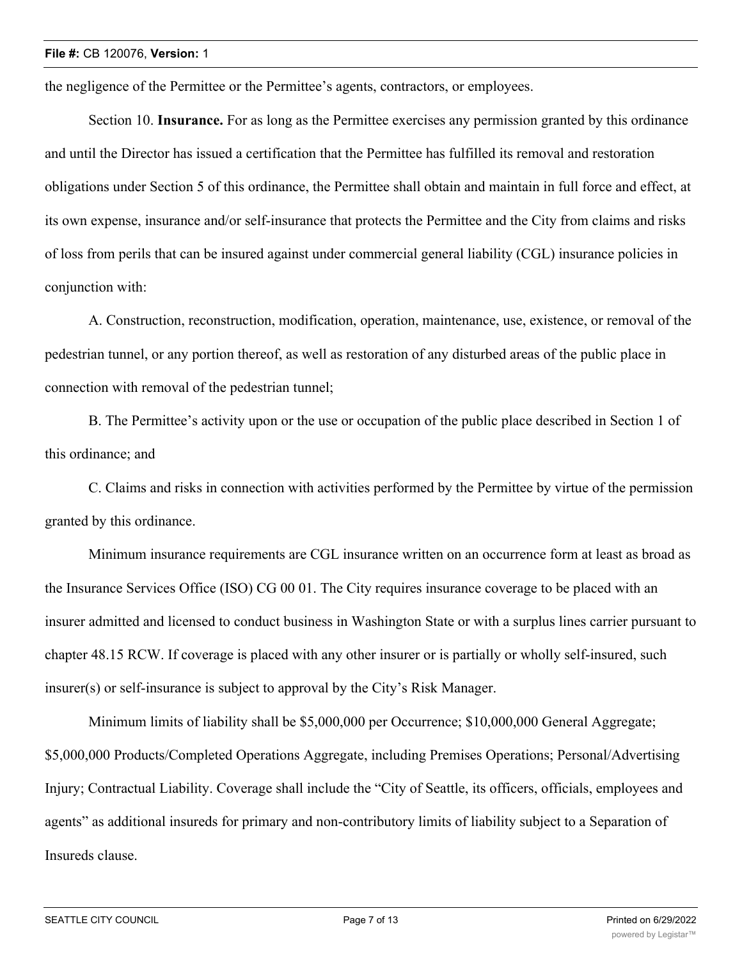the negligence of the Permittee or the Permittee's agents, contractors, or employees.

Section 10. **Insurance.** For as long as the Permittee exercises any permission granted by this ordinance and until the Director has issued a certification that the Permittee has fulfilled its removal and restoration obligations under Section 5 of this ordinance, the Permittee shall obtain and maintain in full force and effect, at its own expense, insurance and/or self-insurance that protects the Permittee and the City from claims and risks of loss from perils that can be insured against under commercial general liability (CGL) insurance policies in conjunction with:

A. Construction, reconstruction, modification, operation, maintenance, use, existence, or removal of the pedestrian tunnel, or any portion thereof, as well as restoration of any disturbed areas of the public place in connection with removal of the pedestrian tunnel;

B. The Permittee's activity upon or the use or occupation of the public place described in Section 1 of this ordinance; and

C. Claims and risks in connection with activities performed by the Permittee by virtue of the permission granted by this ordinance.

Minimum insurance requirements are CGL insurance written on an occurrence form at least as broad as the Insurance Services Office (ISO) CG 00 01. The City requires insurance coverage to be placed with an insurer admitted and licensed to conduct business in Washington State or with a surplus lines carrier pursuant to chapter 48.15 RCW. If coverage is placed with any other insurer or is partially or wholly self-insured, such insurer(s) or self-insurance is subject to approval by the City's Risk Manager.

Minimum limits of liability shall be \$5,000,000 per Occurrence; \$10,000,000 General Aggregate; \$5,000,000 Products/Completed Operations Aggregate, including Premises Operations; Personal/Advertising Injury; Contractual Liability. Coverage shall include the "City of Seattle, its officers, officials, employees and agents" as additional insureds for primary and non-contributory limits of liability subject to a Separation of Insureds clause.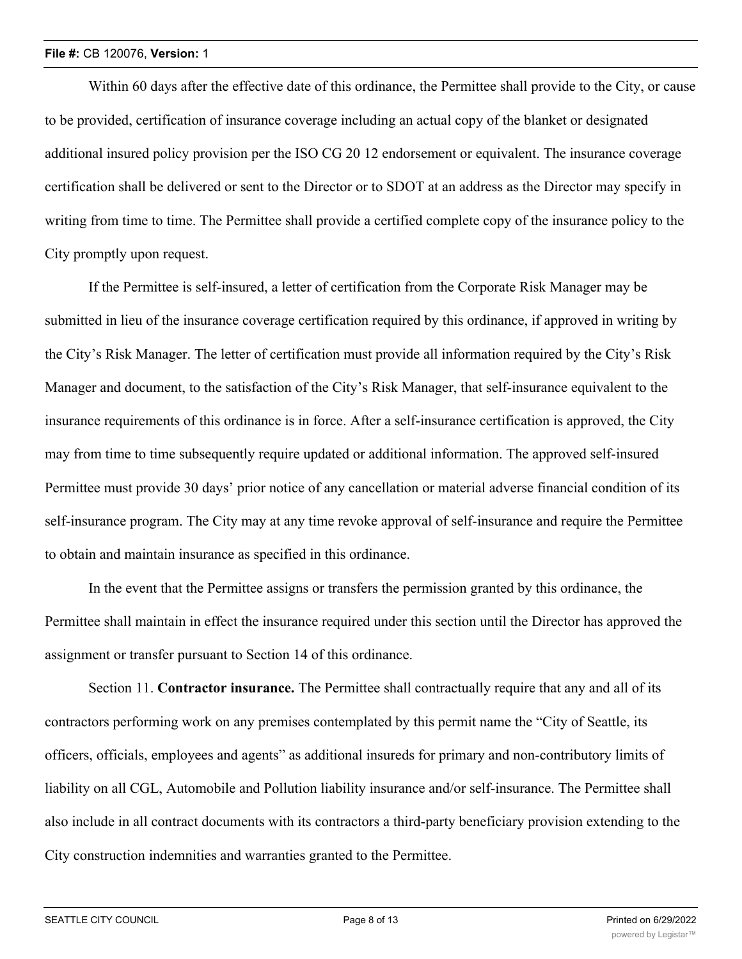#### **File #:** CB 120076, **Version:** 1

Within 60 days after the effective date of this ordinance, the Permittee shall provide to the City, or cause to be provided, certification of insurance coverage including an actual copy of the blanket or designated additional insured policy provision per the ISO CG 20 12 endorsement or equivalent. The insurance coverage certification shall be delivered or sent to the Director or to SDOT at an address as the Director may specify in writing from time to time. The Permittee shall provide a certified complete copy of the insurance policy to the City promptly upon request.

If the Permittee is self-insured, a letter of certification from the Corporate Risk Manager may be submitted in lieu of the insurance coverage certification required by this ordinance, if approved in writing by the City's Risk Manager. The letter of certification must provide all information required by the City's Risk Manager and document, to the satisfaction of the City's Risk Manager, that self-insurance equivalent to the insurance requirements of this ordinance is in force. After a self-insurance certification is approved, the City may from time to time subsequently require updated or additional information. The approved self-insured Permittee must provide 30 days' prior notice of any cancellation or material adverse financial condition of its self-insurance program. The City may at any time revoke approval of self-insurance and require the Permittee to obtain and maintain insurance as specified in this ordinance.

In the event that the Permittee assigns or transfers the permission granted by this ordinance, the Permittee shall maintain in effect the insurance required under this section until the Director has approved the assignment or transfer pursuant to Section 14 of this ordinance.

Section 11. **Contractor insurance.** The Permittee shall contractually require that any and all of its contractors performing work on any premises contemplated by this permit name the "City of Seattle, its officers, officials, employees and agents" as additional insureds for primary and non-contributory limits of liability on all CGL, Automobile and Pollution liability insurance and/or self-insurance. The Permittee shall also include in all contract documents with its contractors a third-party beneficiary provision extending to the City construction indemnities and warranties granted to the Permittee.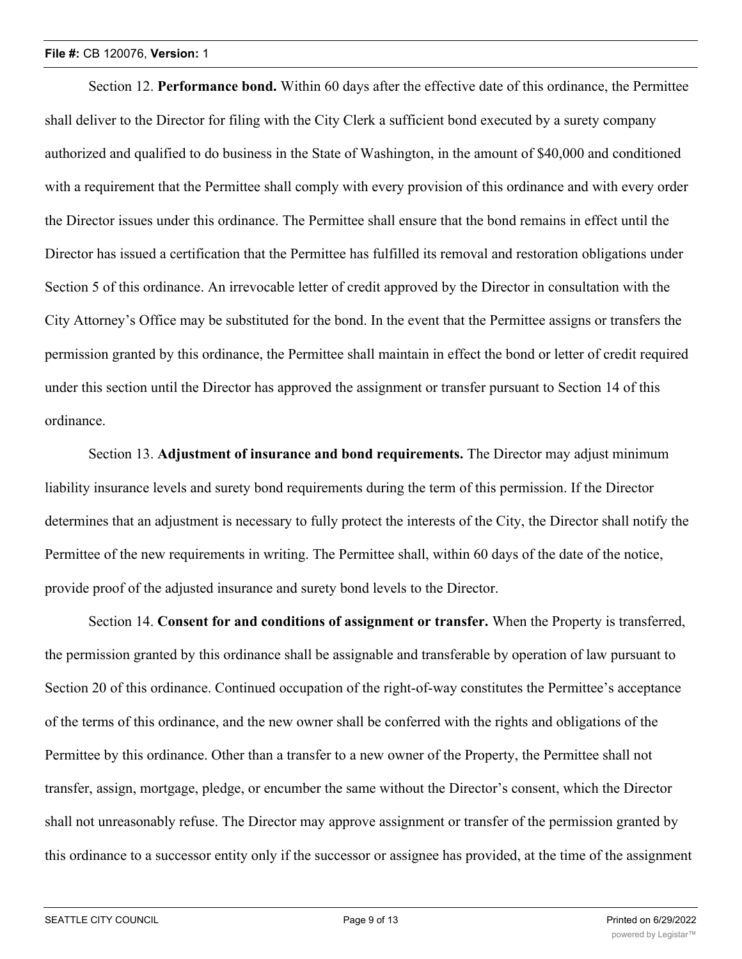#### **File #:** CB 120076, **Version:** 1

Section 12. **Performance bond.** Within 60 days after the effective date of this ordinance, the Permittee shall deliver to the Director for filing with the City Clerk a sufficient bond executed by a surety company authorized and qualified to do business in the State of Washington, in the amount of \$40,000 and conditioned with a requirement that the Permittee shall comply with every provision of this ordinance and with every order the Director issues under this ordinance. The Permittee shall ensure that the bond remains in effect until the Director has issued a certification that the Permittee has fulfilled its removal and restoration obligations under Section 5 of this ordinance. An irrevocable letter of credit approved by the Director in consultation with the City Attorney's Office may be substituted for the bond. In the event that the Permittee assigns or transfers the permission granted by this ordinance, the Permittee shall maintain in effect the bond or letter of credit required under this section until the Director has approved the assignment or transfer pursuant to Section 14 of this ordinance.

Section 13. **Adjustment of insurance and bond requirements.** The Director may adjust minimum liability insurance levels and surety bond requirements during the term of this permission. If the Director determines that an adjustment is necessary to fully protect the interests of the City, the Director shall notify the Permittee of the new requirements in writing. The Permittee shall, within 60 days of the date of the notice, provide proof of the adjusted insurance and surety bond levels to the Director.

Section 14. **Consent for and conditions of assignment or transfer.** When the Property is transferred, the permission granted by this ordinance shall be assignable and transferable by operation of law pursuant to Section 20 of this ordinance. Continued occupation of the right-of-way constitutes the Permittee's acceptance of the terms of this ordinance, and the new owner shall be conferred with the rights and obligations of the Permittee by this ordinance. Other than a transfer to a new owner of the Property, the Permittee shall not transfer, assign, mortgage, pledge, or encumber the same without the Director's consent, which the Director shall not unreasonably refuse. The Director may approve assignment or transfer of the permission granted by this ordinance to a successor entity only if the successor or assignee has provided, at the time of the assignment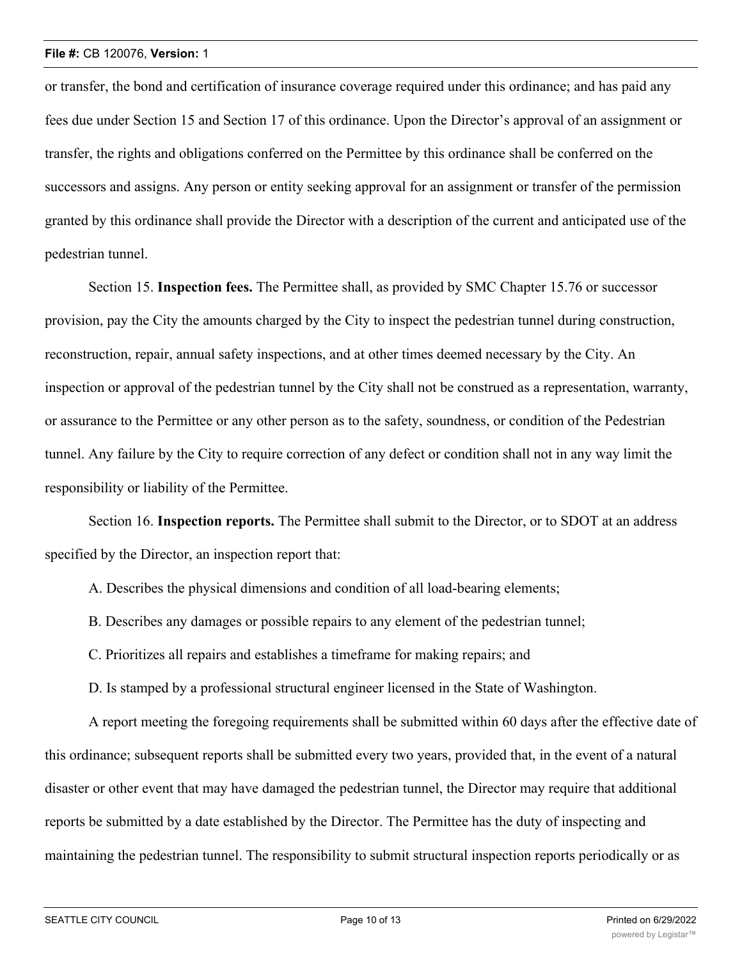or transfer, the bond and certification of insurance coverage required under this ordinance; and has paid any fees due under Section 15 and Section 17 of this ordinance. Upon the Director's approval of an assignment or transfer, the rights and obligations conferred on the Permittee by this ordinance shall be conferred on the successors and assigns. Any person or entity seeking approval for an assignment or transfer of the permission granted by this ordinance shall provide the Director with a description of the current and anticipated use of the pedestrian tunnel.

Section 15. **Inspection fees.** The Permittee shall, as provided by SMC Chapter 15.76 or successor provision, pay the City the amounts charged by the City to inspect the pedestrian tunnel during construction, reconstruction, repair, annual safety inspections, and at other times deemed necessary by the City. An inspection or approval of the pedestrian tunnel by the City shall not be construed as a representation, warranty, or assurance to the Permittee or any other person as to the safety, soundness, or condition of the Pedestrian tunnel. Any failure by the City to require correction of any defect or condition shall not in any way limit the responsibility or liability of the Permittee.

Section 16. **Inspection reports.** The Permittee shall submit to the Director, or to SDOT at an address specified by the Director, an inspection report that:

A. Describes the physical dimensions and condition of all load-bearing elements;

B. Describes any damages or possible repairs to any element of the pedestrian tunnel;

C. Prioritizes all repairs and establishes a timeframe for making repairs; and

D. Is stamped by a professional structural engineer licensed in the State of Washington.

A report meeting the foregoing requirements shall be submitted within 60 days after the effective date of this ordinance; subsequent reports shall be submitted every two years, provided that, in the event of a natural disaster or other event that may have damaged the pedestrian tunnel, the Director may require that additional reports be submitted by a date established by the Director. The Permittee has the duty of inspecting and maintaining the pedestrian tunnel. The responsibility to submit structural inspection reports periodically or as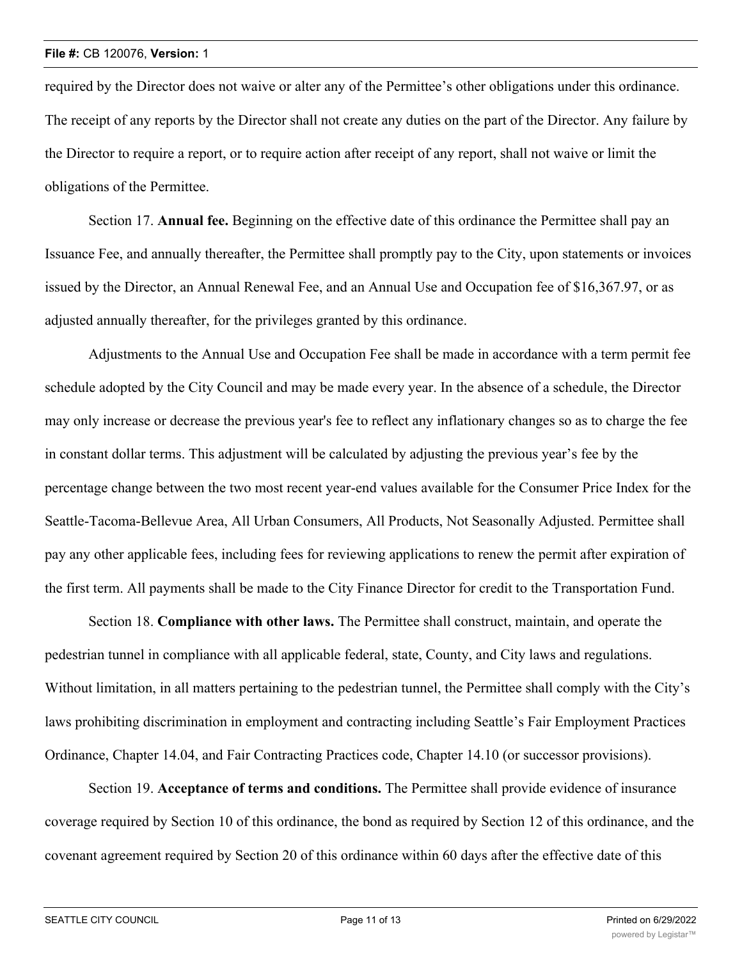required by the Director does not waive or alter any of the Permittee's other obligations under this ordinance. The receipt of any reports by the Director shall not create any duties on the part of the Director. Any failure by the Director to require a report, or to require action after receipt of any report, shall not waive or limit the obligations of the Permittee.

Section 17. **Annual fee.** Beginning on the effective date of this ordinance the Permittee shall pay an Issuance Fee, and annually thereafter, the Permittee shall promptly pay to the City, upon statements or invoices issued by the Director, an Annual Renewal Fee, and an Annual Use and Occupation fee of \$16,367.97, or as adjusted annually thereafter, for the privileges granted by this ordinance.

Adjustments to the Annual Use and Occupation Fee shall be made in accordance with a term permit fee schedule adopted by the City Council and may be made every year. In the absence of a schedule, the Director may only increase or decrease the previous year's fee to reflect any inflationary changes so as to charge the fee in constant dollar terms. This adjustment will be calculated by adjusting the previous year's fee by the percentage change between the two most recent year-end values available for the Consumer Price Index for the Seattle-Tacoma-Bellevue Area, All Urban Consumers, All Products, Not Seasonally Adjusted. Permittee shall pay any other applicable fees, including fees for reviewing applications to renew the permit after expiration of the first term. All payments shall be made to the City Finance Director for credit to the Transportation Fund.

Section 18. **Compliance with other laws.** The Permittee shall construct, maintain, and operate the pedestrian tunnel in compliance with all applicable federal, state, County, and City laws and regulations. Without limitation, in all matters pertaining to the pedestrian tunnel, the Permittee shall comply with the City's laws prohibiting discrimination in employment and contracting including Seattle's Fair Employment Practices Ordinance, Chapter 14.04, and Fair Contracting Practices code, Chapter 14.10 (or successor provisions).

Section 19. **Acceptance of terms and conditions.** The Permittee shall provide evidence of insurance coverage required by Section 10 of this ordinance, the bond as required by Section 12 of this ordinance, and the covenant agreement required by Section 20 of this ordinance within 60 days after the effective date of this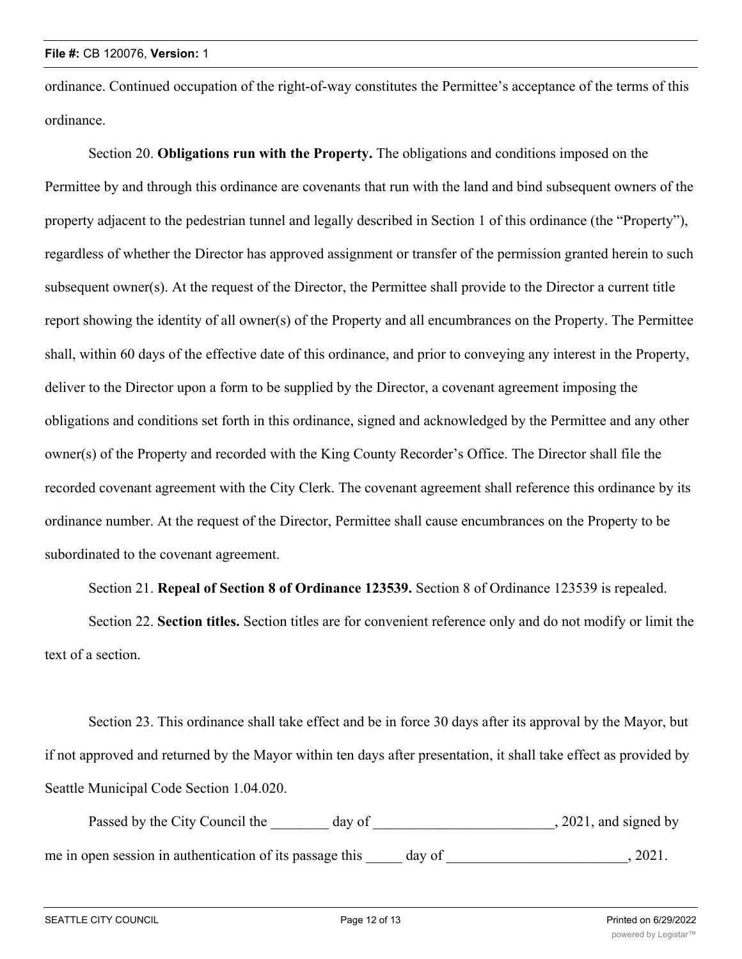ordinance. Continued occupation of the right-of-way constitutes the Permittee's acceptance of the terms of this ordinance.

Section 20. **Obligations run with the Property.** The obligations and conditions imposed on the Permittee by and through this ordinance are covenants that run with the land and bind subsequent owners of the property adjacent to the pedestrian tunnel and legally described in Section 1 of this ordinance (the "Property"), regardless of whether the Director has approved assignment or transfer of the permission granted herein to such subsequent owner(s). At the request of the Director, the Permittee shall provide to the Director a current title report showing the identity of all owner(s) of the Property and all encumbrances on the Property. The Permittee shall, within 60 days of the effective date of this ordinance, and prior to conveying any interest in the Property, deliver to the Director upon a form to be supplied by the Director, a covenant agreement imposing the obligations and conditions set forth in this ordinance, signed and acknowledged by the Permittee and any other owner(s) of the Property and recorded with the King County Recorder's Office. The Director shall file the recorded covenant agreement with the City Clerk. The covenant agreement shall reference this ordinance by its ordinance number. At the request of the Director, Permittee shall cause encumbrances on the Property to be subordinated to the covenant agreement.

Section 21. **Repeal of Section 8 of Ordinance 123539.** Section 8 of Ordinance 123539 is repealed.

Section 22. **Section titles.** Section titles are for convenient reference only and do not modify or limit the text of a section.

Section 23. This ordinance shall take effect and be in force 30 days after its approval by the Mayor, but if not approved and returned by the Mayor within ten days after presentation, it shall take effect as provided by Seattle Municipal Code Section 1.04.020.

Passed by the City Council the day of  $\qquad \qquad$ , 2021, and signed by me in open session in authentication of its passage this day of  $\qquad \qquad$ , 2021.